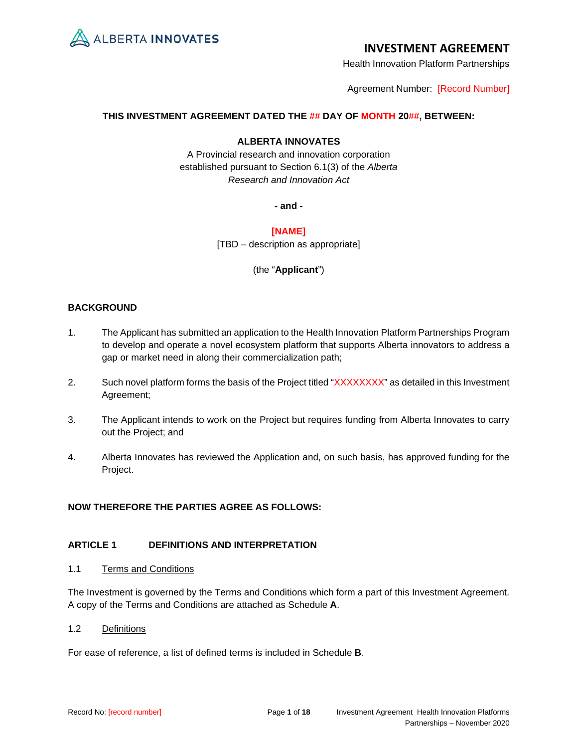

Health Innovation Platform Partnerships

Agreement Number: [Record Number]

# **THIS INVESTMENT AGREEMENT DATED THE ## DAY OF MONTH 20##, BETWEEN:**

# **ALBERTA INNOVATES**

A Provincial research and innovation corporation established pursuant to Section 6.1(3) of the *Alberta Research and Innovation Act*

**- and -**

# **[NAME]**

[TBD – description as appropriate]

(the "**Applicant**")

# **BACKGROUND**

- 1. The Applicant has submitted an application to the Health Innovation Platform Partnerships Program to develop and operate a novel ecosystem platform that supports Alberta innovators to address a gap or market need in along their commercialization path;
- 2. Such novel platform forms the basis of the Project titled "XXXXXXX" as detailed in this Investment Agreement;
- 3. The Applicant intends to work on the Project but requires funding from Alberta Innovates to carry out the Project; and
- 4. Alberta Innovates has reviewed the Application and, on such basis, has approved funding for the Project.

# **NOW THEREFORE THE PARTIES AGREE AS FOLLOWS:**

# **ARTICLE 1 DEFINITIONS AND INTERPRETATION**

1.1 Terms and Conditions

The Investment is governed by the Terms and Conditions which form a part of this Investment Agreement. A copy of the Terms and Conditions are attached as Schedule **A**.

# 1.2 Definitions

For ease of reference, a list of defined terms is included in Schedule **B**.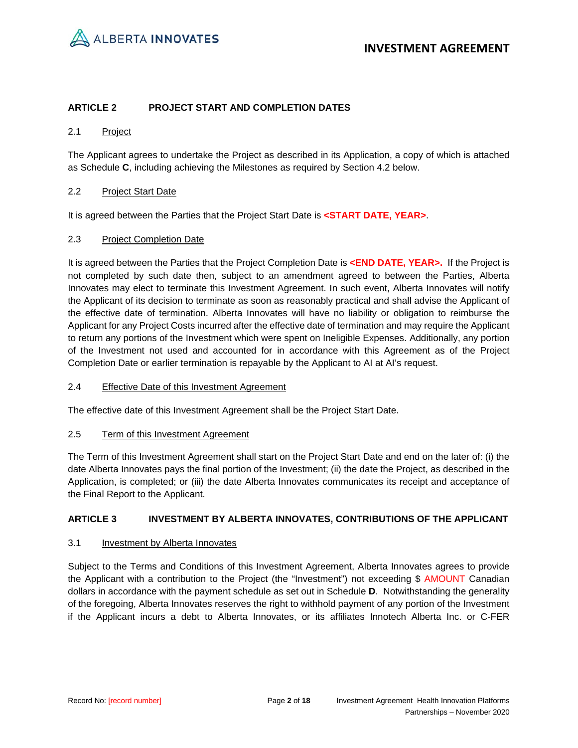# **ARTICLE 2 PROJECT START AND COMPLETION DATES**

# 2.1 Project

The Applicant agrees to undertake the Project as described in its Application, a copy of which is attached as Schedule **C**, including achieving the Milestones as required by Section [4.2](#page-3-0) below.

# 2.2 Project Start Date

It is agreed between the Parties that the Project Start Date is **<START DATE, YEAR>**.

# 2.3 Project Completion Date

It is agreed between the Parties that the Project Completion Date is **<END DATE, YEAR>.** If the Project is not completed by such date then, subject to an amendment agreed to between the Parties, Alberta Innovates may elect to terminate this Investment Agreement. In such event, Alberta Innovates will notify the Applicant of its decision to terminate as soon as reasonably practical and shall advise the Applicant of the effective date of termination. Alberta Innovates will have no liability or obligation to reimburse the Applicant for any Project Costs incurred after the effective date of termination and may require the Applicant to return any portions of the Investment which were spent on Ineligible Expenses. Additionally, any portion of the Investment not used and accounted for in accordance with this Agreement as of the Project Completion Date or earlier termination is repayable by the Applicant to AI at AI's request.

### 2.4 Effective Date of this Investment Agreement

The effective date of this Investment Agreement shall be the Project Start Date.

### 2.5 Term of this Investment Agreement

The Term of this Investment Agreement shall start on the Project Start Date and end on the later of: (i) the date Alberta Innovates pays the final portion of the Investment; (ii) the date the Project, as described in the Application, is completed; or (iii) the date Alberta Innovates communicates its receipt and acceptance of the Final Report to the Applicant.

# **ARTICLE 3 INVESTMENT BY ALBERTA INNOVATES, CONTRIBUTIONS OF THE APPLICANT**

# 3.1 Investment by Alberta Innovates

Subject to the Terms and Conditions of this Investment Agreement, Alberta Innovates agrees to provide the Applicant with a contribution to the Project (the "Investment") not exceeding \$ AMOUNT Canadian dollars in accordance with the payment schedule as set out in Schedule **D**. Notwithstanding the generality of the foregoing, Alberta Innovates reserves the right to withhold payment of any portion of the Investment if the Applicant incurs a debt to Alberta Innovates, or its affiliates Innotech Alberta Inc. or C-FER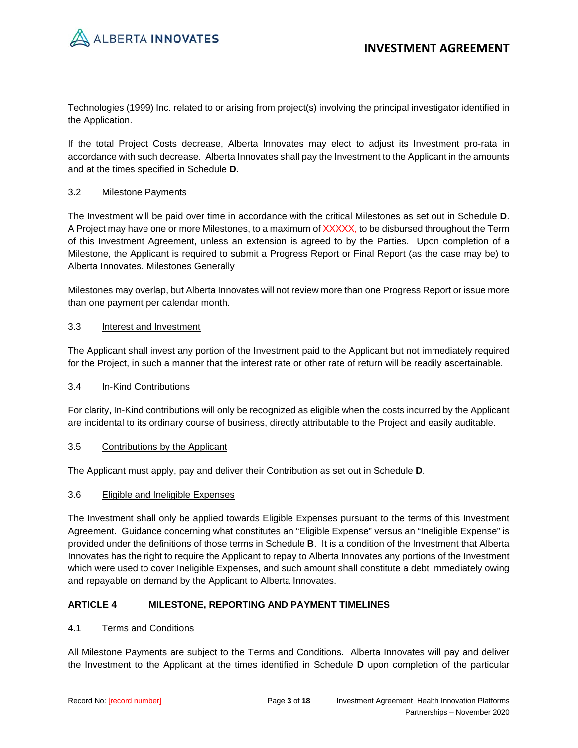

Technologies (1999) Inc. related to or arising from project(s) involving the principal investigator identified in the Application.

If the total Project Costs decrease, Alberta Innovates may elect to adjust its Investment pro-rata in accordance with such decrease. Alberta Innovates shall pay the Investment to the Applicant in the amounts and at the times specified in Schedule **D**.

# 3.2 Milestone Payments

The Investment will be paid over time in accordance with the critical Milestones as set out in Schedule **D**. A Project may have one or more Milestones, to a maximum of XXXXX, to be disbursed throughout the Term of this Investment Agreement, unless an extension is agreed to by the Parties. Upon completion of a Milestone, the Applicant is required to submit a Progress Report or Final Report (as the case may be) to Alberta Innovates. Milestones Generally

Milestones may overlap, but Alberta Innovates will not review more than one Progress Report or issue more than one payment per calendar month.

## 3.3 Interest and Investment

The Applicant shall invest any portion of the Investment paid to the Applicant but not immediately required for the Project, in such a manner that the interest rate or other rate of return will be readily ascertainable.

# 3.4 In-Kind Contributions

For clarity, In-Kind contributions will only be recognized as eligible when the costs incurred by the Applicant are incidental to its ordinary course of business, directly attributable to the Project and easily auditable.

# 3.5 Contributions by the Applicant

The Applicant must apply, pay and deliver their Contribution as set out in Schedule **D**.

### 3.6 Eligible and Ineligible Expenses

The Investment shall only be applied towards Eligible Expenses pursuant to the terms of this Investment Agreement. Guidance concerning what constitutes an "Eligible Expense" versus an "Ineligible Expense" is provided under the definitions of those terms in Schedule **B**. It is a condition of the Investment that Alberta Innovates has the right to require the Applicant to repay to Alberta Innovates any portions of the Investment which were used to cover Ineligible Expenses, and such amount shall constitute a debt immediately owing and repayable on demand by the Applicant to Alberta Innovates.

# **ARTICLE 4 MILESTONE, REPORTING AND PAYMENT TIMELINES**

# 4.1 Terms and Conditions

All Milestone Payments are subject to the Terms and Conditions. Alberta Innovates will pay and deliver the Investment to the Applicant at the times identified in Schedule **D** upon completion of the particular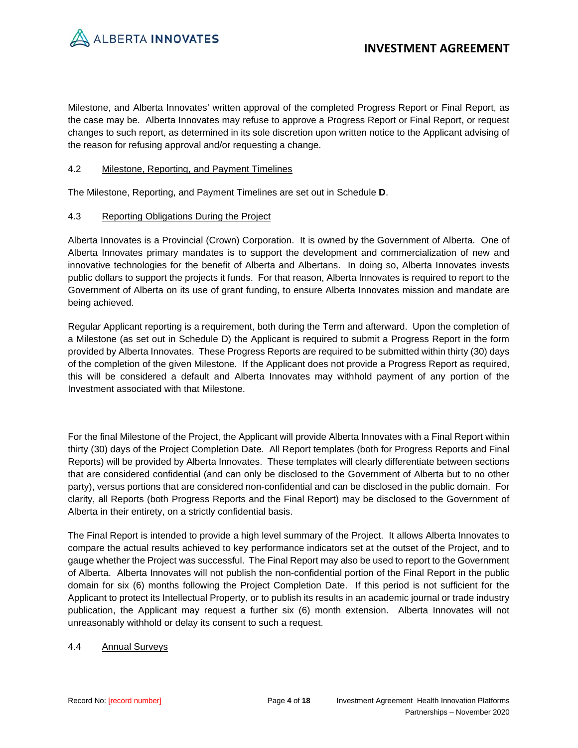

Milestone, and Alberta Innovates' written approval of the completed Progress Report or Final Report, as the case may be. Alberta Innovates may refuse to approve a Progress Report or Final Report, or request changes to such report, as determined in its sole discretion upon written notice to the Applicant advising of the reason for refusing approval and/or requesting a change.

# <span id="page-3-0"></span>4.2 Milestone, Reporting, and Payment Timelines

The Milestone, Reporting, and Payment Timelines are set out in Schedule **D**.

# 4.3 Reporting Obligations During the Project

Alberta Innovates is a Provincial (Crown) Corporation. It is owned by the Government of Alberta. One of Alberta Innovates primary mandates is to support the development and commercialization of new and innovative technologies for the benefit of Alberta and Albertans. In doing so, Alberta Innovates invests public dollars to support the projects it funds. For that reason, Alberta Innovates is required to report to the Government of Alberta on its use of grant funding, to ensure Alberta Innovates mission and mandate are being achieved.

Regular Applicant reporting is a requirement, both during the Term and afterward. Upon the completion of a Milestone (as set out in Schedule D) the Applicant is required to submit a Progress Report in the form provided by Alberta Innovates. These Progress Reports are required to be submitted within thirty (30) days of the completion of the given Milestone. If the Applicant does not provide a Progress Report as required, this will be considered a default and Alberta Innovates may withhold payment of any portion of the Investment associated with that Milestone.

For the final Milestone of the Project, the Applicant will provide Alberta Innovates with a Final Report within thirty (30) days of the Project Completion Date. All Report templates (both for Progress Reports and Final Reports) will be provided by Alberta Innovates. These templates will clearly differentiate between sections that are considered confidential (and can only be disclosed to the Government of Alberta but to no other party), versus portions that are considered non-confidential and can be disclosed in the public domain. For clarity, all Reports (both Progress Reports and the Final Report) may be disclosed to the Government of Alberta in their entirety, on a strictly confidential basis.

The Final Report is intended to provide a high level summary of the Project. It allows Alberta Innovates to compare the actual results achieved to key performance indicators set at the outset of the Project, and to gauge whether the Project was successful. The Final Report may also be used to report to the Government of Alberta. Alberta Innovates will not publish the non-confidential portion of the Final Report in the public domain for six (6) months following the Project Completion Date. If this period is not sufficient for the Applicant to protect its Intellectual Property, or to publish its results in an academic journal or trade industry publication, the Applicant may request a further six (6) month extension. Alberta Innovates will not unreasonably withhold or delay its consent to such a request.

# 4.4 Annual Surveys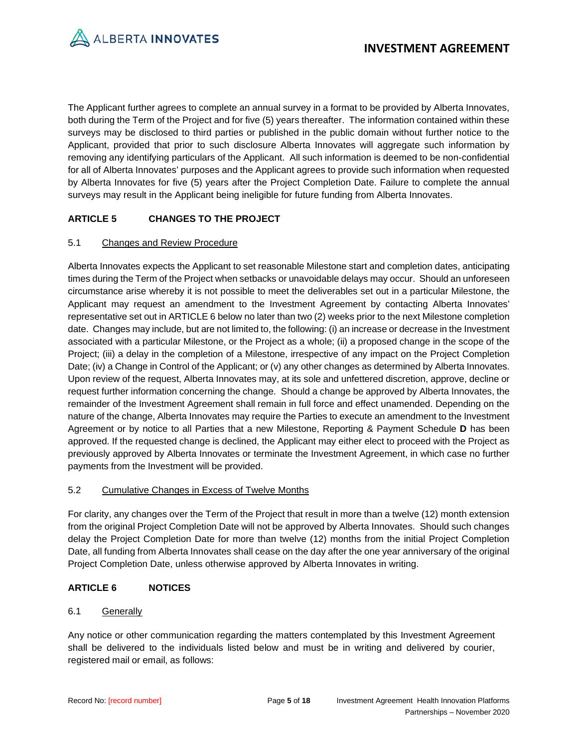

The Applicant further agrees to complete an annual survey in a format to be provided by Alberta Innovates, both during the Term of the Project and for five (5) years thereafter. The information contained within these surveys may be disclosed to third parties or published in the public domain without further notice to the Applicant, provided that prior to such disclosure Alberta Innovates will aggregate such information by removing any identifying particulars of the Applicant. All such information is deemed to be non-confidential for all of Alberta Innovates' purposes and the Applicant agrees to provide such information when requested by Alberta Innovates for five (5) years after the Project Completion Date. Failure to complete the annual surveys may result in the Applicant being ineligible for future funding from Alberta Innovates.

# **ARTICLE 5 CHANGES TO THE PROJECT**

# 5.1 Changes and Review Procedure

Alberta Innovates expects the Applicant to set reasonable Milestone start and completion dates, anticipating times during the Term of the Project when setbacks or unavoidable delays may occur. Should an unforeseen circumstance arise whereby it is not possible to meet the deliverables set out in a particular Milestone, the Applicant may request an amendment to the Investment Agreement by contacting Alberta Innovates' representative set out i[n ARTICLE 6](#page-4-0) below no later than two (2) weeks prior to the next Milestone completion date. Changes may include, but are not limited to, the following: (i) an increase or decrease in the Investment associated with a particular Milestone, or the Project as a whole; (ii) a proposed change in the scope of the Project; (iii) a delay in the completion of a Milestone, irrespective of any impact on the Project Completion Date; (iv) a Change in Control of the Applicant; or (v) any other changes as determined by Alberta Innovates. Upon review of the request, Alberta Innovates may, at its sole and unfettered discretion, approve, decline or request further information concerning the change. Should a change be approved by Alberta Innovates, the remainder of the Investment Agreement shall remain in full force and effect unamended. Depending on the nature of the change, Alberta Innovates may require the Parties to execute an amendment to the Investment Agreement or by notice to all Parties that a new Milestone, Reporting & Payment Schedule **D** has been approved. If the requested change is declined, the Applicant may either elect to proceed with the Project as previously approved by Alberta Innovates or terminate the Investment Agreement, in which case no further payments from the Investment will be provided.

# 5.2 Cumulative Changes in Excess of Twelve Months

For clarity, any changes over the Term of the Project that result in more than a twelve (12) month extension from the original Project Completion Date will not be approved by Alberta Innovates. Should such changes delay the Project Completion Date for more than twelve (12) months from the initial Project Completion Date, all funding from Alberta Innovates shall cease on the day after the one year anniversary of the original Project Completion Date, unless otherwise approved by Alberta Innovates in writing.

# <span id="page-4-0"></span>**ARTICLE 6 NOTICES**

# 6.1 Generally

Any notice or other communication regarding the matters contemplated by this Investment Agreement shall be delivered to the individuals listed below and must be in writing and delivered by courier, registered mail or email, as follows: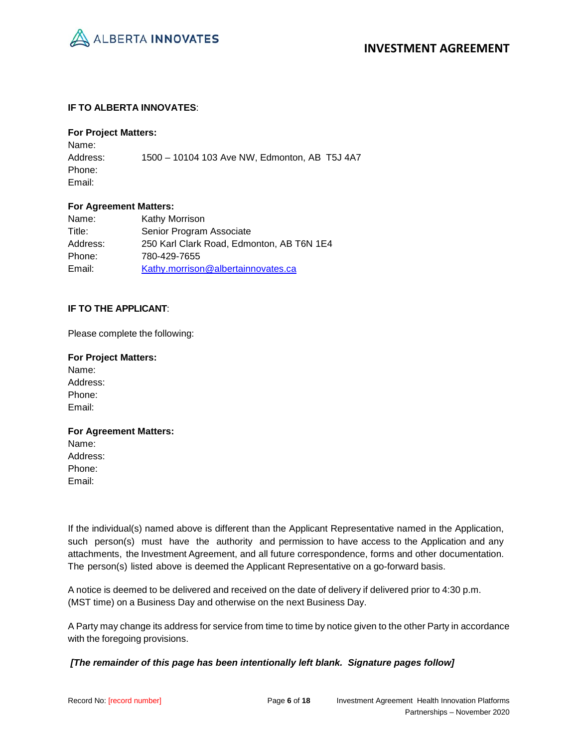

# **IF TO ALBERTA INNOVATES**:

### **For Project Matters:**

Name: Address: 1500 – 10104 103 Ave NW, Edmonton, AB T5J 4A7 Phone: Email:

### **For Agreement Matters:**

| Name:    | Kathy Morrison                            |
|----------|-------------------------------------------|
| Title:   | Senior Program Associate                  |
| Address: | 250 Karl Clark Road, Edmonton, AB T6N 1E4 |
| Phone:   | 780-429-7655                              |
| Email:   | Kathy.morrison@albertainnovates.ca        |

# **IF TO THE APPLICANT**:

Please complete the following:

**For Project Matters:** Name: Address:

Phone: Email:

**For Agreement Matters:** Name:

Address: Phone: Email:

If the individual(s) named above is different than the Applicant Representative named in the Application, such person(s) must have the authority and permission to have access to the Application and any attachments, the Investment Agreement, and all future correspondence, forms and other documentation. The person(s) listed above is deemed the Applicant Representative on a go-forward basis.

A notice is deemed to be delivered and received on the date of delivery if delivered prior to 4:30 p.m. (MST time) on a Business Day and otherwise on the next Business Day.

A Party may change its address for service from time to time by notice given to the other Party in accordance with the foregoing provisions.

# *[The remainder of this page has been intentionally left blank. Signature pages follow]*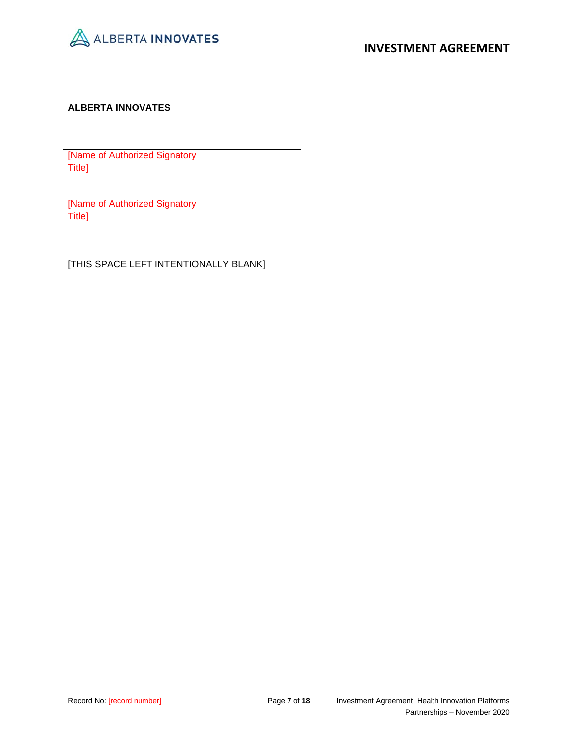

# **ALBERTA INNOVATES**

[Name of Authorized Signatory Title]

[Name of Authorized Signatory Title]

[THIS SPACE LEFT INTENTIONALLY BLANK]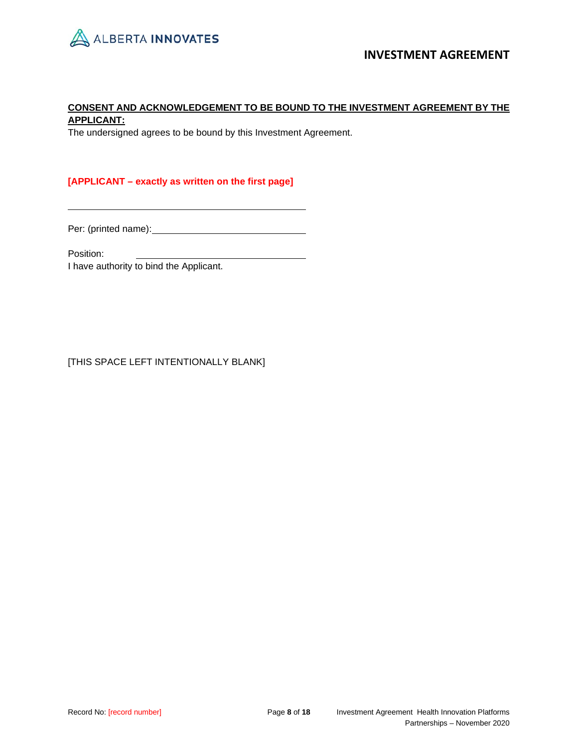

# **CONSENT AND ACKNOWLEDGEMENT TO BE BOUND TO THE INVESTMENT AGREEMENT BY THE APPLICANT:**

The undersigned agrees to be bound by this Investment Agreement.

# **[APPLICANT – exactly as written on the first page]**

Per: (printed name):

Position:

I have authority to bind the Applicant.

[THIS SPACE LEFT INTENTIONALLY BLANK]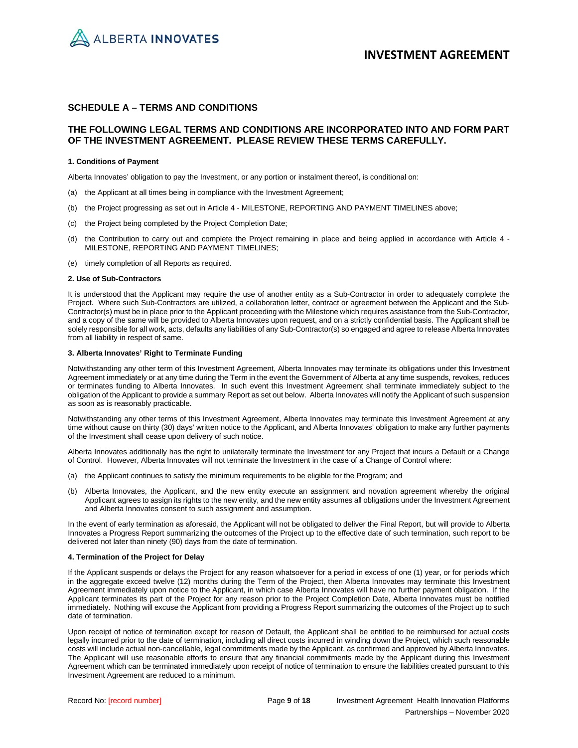

### **SCHEDULE A – TERMS AND CONDITIONS**

### **THE FOLLOWING LEGAL TERMS AND CONDITIONS ARE INCORPORATED INTO AND FORM PART OF THE INVESTMENT AGREEMENT. PLEASE REVIEW THESE TERMS CAREFULLY.**

### **1. Conditions of Payment**

Alberta Innovates' obligation to pay the Investment, or any portion or instalment thereof, is conditional on:

- (a) the Applicant at all times being in compliance with the Investment Agreement;
- (b) the Project progressing as set out in Article 4 MILESTONE, REPORTING AND PAYMENT TIMELINES above;
- (c) the Project being completed by the Project Completion Date;
- (d) the Contribution to carry out and complete the Project remaining in place and being applied in accordance with Article 4 MILESTONE, REPORTING AND PAYMENT TIMELINES;
- (e) timely completion of all Reports as required.

### **2. Use of Sub-Contractors**

It is understood that the Applicant may require the use of another entity as a Sub-Contractor in order to adequately complete the Project. Where such Sub-Contractors are utilized, a collaboration letter, contract or agreement between the Applicant and the Sub-Contractor(s) must be in place prior to the Applicant proceeding with the Milestone which requires assistance from the Sub-Contractor, and a copy of the same will be provided to Alberta Innovates upon request, and on a strictly confidential basis. The Applicant shall be solely responsible for all work, acts, defaults any liabilities of any Sub-Contractor(s) so engaged and agree to release Alberta Innovates from all liability in respect of same.

### **3. Alberta Innovates' Right to Terminate Funding**

Notwithstanding any other term of this Investment Agreement, Alberta Innovates may terminate its obligations under this Investment Agreement immediately or at any time during the Term in the event the Government of Alberta at any time suspends, revokes, reduces or terminates funding to Alberta Innovates. In such event this Investment Agreement shall terminate immediately subject to the obligation of the Applicant to provide a summary Report as set out below. Alberta Innovates will notify the Applicant of such suspension as soon as is reasonably practicable.

Notwithstanding any other terms of this Investment Agreement, Alberta Innovates may terminate this Investment Agreement at any time without cause on thirty (30) days' written notice to the Applicant, and Alberta Innovates' obligation to make any further payments of the Investment shall cease upon delivery of such notice.

Alberta Innovates additionally has the right to unilaterally terminate the Investment for any Project that incurs a Default or a Change of Control. However, Alberta Innovates will not terminate the Investment in the case of a Change of Control where:

- (a) the Applicant continues to satisfy the minimum requirements to be eligible for the Program; and
- (b) Alberta Innovates, the Applicant, and the new entity execute an assignment and novation agreement whereby the original Applicant agrees to assign its rights to the new entity, and the new entity assumes all obligations under the Investment Agreement and Alberta Innovates consent to such assignment and assumption.

In the event of early termination as aforesaid, the Applicant will not be obligated to deliver the Final Report, but will provide to Alberta Innovates a Progress Report summarizing the outcomes of the Project up to the effective date of such termination, such report to be delivered not later than ninety (90) days from the date of termination.

### **4. Termination of the Project for Delay**

If the Applicant suspends or delays the Project for any reason whatsoever for a period in excess of one (1) year, or for periods which in the aggregate exceed twelve (12) months during the Term of the Project, then Alberta Innovates may terminate this Investment Agreement immediately upon notice to the Applicant, in which case Alberta Innovates will have no further payment obligation. If the Applicant terminates its part of the Project for any reason prior to the Project Completion Date, Alberta Innovates must be notified immediately. Nothing will excuse the Applicant from providing a Progress Report summarizing the outcomes of the Project up to such date of termination.

Upon receipt of notice of termination except for reason of Default, the Applicant shall be entitled to be reimbursed for actual costs legally incurred prior to the date of termination, including all direct costs incurred in winding down the Project, which such reasonable costs will include actual non-cancellable, legal commitments made by the Applicant, as confirmed and approved by Alberta Innovates. The Applicant will use reasonable efforts to ensure that any financial commitments made by the Applicant during this Investment Agreement which can be terminated immediately upon receipt of notice of termination to ensure the liabilities created pursuant to this Investment Agreement are reduced to a minimum.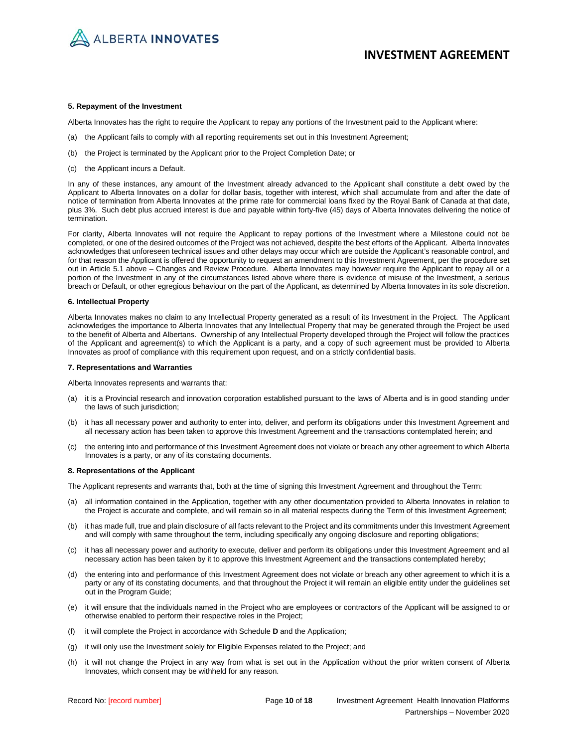

#### **5. Repayment of the Investment**

Alberta Innovates has the right to require the Applicant to repay any portions of the Investment paid to the Applicant where:

- (a) the Applicant fails to comply with all reporting requirements set out in this Investment Agreement;
- (b) the Project is terminated by the Applicant prior to the Project Completion Date; or
- (c) the Applicant incurs a Default.

In any of these instances, any amount of the Investment already advanced to the Applicant shall constitute a debt owed by the Applicant to Alberta Innovates on a dollar for dollar basis, together with interest, which shall accumulate from and after the date of notice of termination from Alberta Innovates at the prime rate for commercial loans fixed by the Royal Bank of Canada at that date, plus 3%. Such debt plus accrued interest is due and payable within forty-five (45) days of Alberta Innovates delivering the notice of termination.

For clarity, Alberta Innovates will not require the Applicant to repay portions of the Investment where a Milestone could not be completed, or one of the desired outcomes of the Project was not achieved, despite the best efforts of the Applicant. Alberta Innovates acknowledges that unforeseen technical issues and other delays may occur which are outside the Applicant's reasonable control, and for that reason the Applicant is offered the opportunity to request an amendment to this Investment Agreement, per the procedure set out in Article 5.1 above – Changes and Review Procedure. Alberta Innovates may however require the Applicant to repay all or a portion of the Investment in any of the circumstances listed above where there is evidence of misuse of the Investment, a serious breach or Default, or other egregious behaviour on the part of the Applicant, as determined by Alberta Innovates in its sole discretion.

### **6. Intellectual Property**

Alberta Innovates makes no claim to any Intellectual Property generated as a result of its Investment in the Project. The Applicant acknowledges the importance to Alberta Innovates that any Intellectual Property that may be generated through the Project be used to the benefit of Alberta and Albertans. Ownership of any Intellectual Property developed through the Project will follow the practices of the Applicant and agreement(s) to which the Applicant is a party, and a copy of such agreement must be provided to Alberta Innovates as proof of compliance with this requirement upon request, and on a strictly confidential basis.

#### **7. Representations and Warranties**

Alberta Innovates represents and warrants that:

- (a) it is a Provincial research and innovation corporation established pursuant to the laws of Alberta and is in good standing under the laws of such jurisdiction;
- (b) it has all necessary power and authority to enter into, deliver, and perform its obligations under this Investment Agreement and all necessary action has been taken to approve this Investment Agreement and the transactions contemplated herein; and
- (c) the entering into and performance of this Investment Agreement does not violate or breach any other agreement to which Alberta Innovates is a party, or any of its constating documents.

### **8. Representations of the Applicant**

The Applicant represents and warrants that, both at the time of signing this Investment Agreement and throughout the Term:

- (a) all information contained in the Application, together with any other documentation provided to Alberta Innovates in relation to the Project is accurate and complete, and will remain so in all material respects during the Term of this Investment Agreement;
- (b) it has made full, true and plain disclosure of all facts relevant to the Project and its commitments under this Investment Agreement and will comply with same throughout the term, including specifically any ongoing disclosure and reporting obligations;
- (c) it has all necessary power and authority to execute, deliver and perform its obligations under this Investment Agreement and all necessary action has been taken by it to approve this Investment Agreement and the transactions contemplated hereby;
- (d) the entering into and performance of this Investment Agreement does not violate or breach any other agreement to which it is a party or any of its constating documents, and that throughout the Project it will remain an eligible entity under the guidelines set out in the Program Guide;
- (e) it will ensure that the individuals named in the Project who are employees or contractors of the Applicant will be assigned to or otherwise enabled to perform their respective roles in the Project;
- (f) it will complete the Project in accordance with Schedule **D** and the Application;
- (g) it will only use the Investment solely for Eligible Expenses related to the Project; and
- (h) it will not change the Project in any way from what is set out in the Application without the prior written consent of Alberta Innovates, which consent may be withheld for any reason.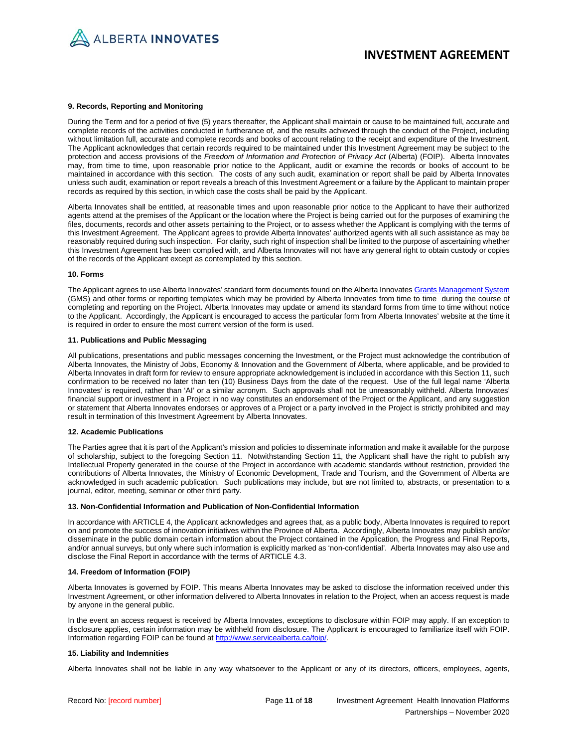

### **9. Records, Reporting and Monitoring**

During the Term and for a period of five (5) years thereafter, the Applicant shall maintain or cause to be maintained full, accurate and complete records of the activities conducted in furtherance of, and the results achieved through the conduct of the Project, including without limitation full, accurate and complete records and books of account relating to the receipt and expenditure of the Investment. The Applicant acknowledges that certain records required to be maintained under this Investment Agreement may be subject to the protection and access provisions of the *Freedom of Information and Protection of Privacy Act* (Alberta) (FOIP). Alberta Innovates may, from time to time, upon reasonable prior notice to the Applicant, audit or examine the records or books of account to be maintained in accordance with this section. The costs of any such audit, examination or report shall be paid by Alberta Innovates unless such audit, examination or report reveals a breach of this Investment Agreement or a failure by the Applicant to maintain proper records as required by this section, in which case the costs shall be paid by the Applicant.

Alberta Innovates shall be entitled, at reasonable times and upon reasonable prior notice to the Applicant to have their authorized agents attend at the premises of the Applicant or the location where the Project is being carried out for the purposes of examining the files, documents, records and other assets pertaining to the Project, or to assess whether the Applicant is complying with the terms of this Investment Agreement. The Applicant agrees to provide Alberta Innovates' authorized agents with all such assistance as may be reasonably required during such inspection. For clarity, such right of inspection shall be limited to the purpose of ascertaining whether this Investment Agreement has been complied with, and Alberta Innovates will not have any general right to obtain custody or copies of the records of the Applicant except as contemplated by this section.

#### **10. Forms**

The Applicant agrees to use Alberta Innovates' standard form documents found on the Alberta Innovate[s Grants Management System](https://albertainnovates.smartsimple.ca/s_Login.jsp) (GMS) and other forms or reporting templates which may be provided by Alberta Innovates from time to time during the course of completing and reporting on the Project. Alberta Innovates may update or amend its standard forms from time to time without notice to the Applicant. Accordingly, the Applicant is encouraged to access the particular form from Alberta Innovates' website at the time it is required in order to ensure the most current version of the form is used.

### **11. Publications and Public Messaging**

All publications, presentations and public messages concerning the Investment, or the Project must acknowledge the contribution of Alberta Innovates, the Ministry of Jobs, Economy & Innovation and the Government of Alberta, where applicable, and be provided to Alberta Innovates in draft form for review to ensure appropriate acknowledgement is included in accordance with this Section 11, such confirmation to be received no later than ten (10) Business Days from the date of the request. Use of the full legal name 'Alberta Innovates' is required, rather than 'AI' or a similar acronym. Such approvals shall not be unreasonably withheld. Alberta Innovates' financial support or investment in a Project in no way constitutes an endorsement of the Project or the Applicant, and any suggestion or statement that Alberta Innovates endorses or approves of a Project or a party involved in the Project is strictly prohibited and may result in termination of this Investment Agreement by Alberta Innovates.

### **12. Academic Publications**

The Parties agree that it is part of the Applicant's mission and policies to disseminate information and make it available for the purpose of scholarship, subject to the foregoing Section 11. Notwithstanding Section 11, the Applicant shall have the right to publish any Intellectual Property generated in the course of the Project in accordance with academic standards without restriction, provided the contributions of Alberta Innovates, the Ministry of Economic Development, Trade and Tourism, and the Government of Alberta are acknowledged in such academic publication. Such publications may include, but are not limited to, abstracts, or presentation to a journal, editor, meeting, seminar or other third party.

### **13. Non-Confidential Information and Publication of Non-Confidential Information**

In accordance with ARTICLE 4, the Applicant acknowledges and agrees that, as a public body, Alberta Innovates is required to report on and promote the success of innovation initiatives within the Province of Alberta. Accordingly, Alberta Innovates may publish and/or disseminate in the public domain certain information about the Project contained in the Application, the Progress and Final Reports, and/or annual surveys, but only where such information is explicitly marked as 'non-confidential'. Alberta Innovates may also use and disclose the Final Report in accordance with the terms of ARTICLE 4.3.

### **14. Freedom of Information (FOIP)**

Alberta Innovates is governed by FOIP. This means Alberta Innovates may be asked to disclose the information received under this Investment Agreement, or other information delivered to Alberta Innovates in relation to the Project, when an access request is made by anyone in the general public.

In the event an access request is received by Alberta Innovates, exceptions to disclosure within FOIP may apply. If an exception to disclosure applies, certain information may be withheld from disclosure. The Applicant is encouraged to familiarize itself with FOIP. Information regarding FOIP can be found a[t http://www.servicealberta.ca/foip/.](http://www.servicealberta.ca/foip/)

### **15. Liability and Indemnities**

Alberta Innovates shall not be liable in any way whatsoever to the Applicant or any of its directors, officers, employees, agents,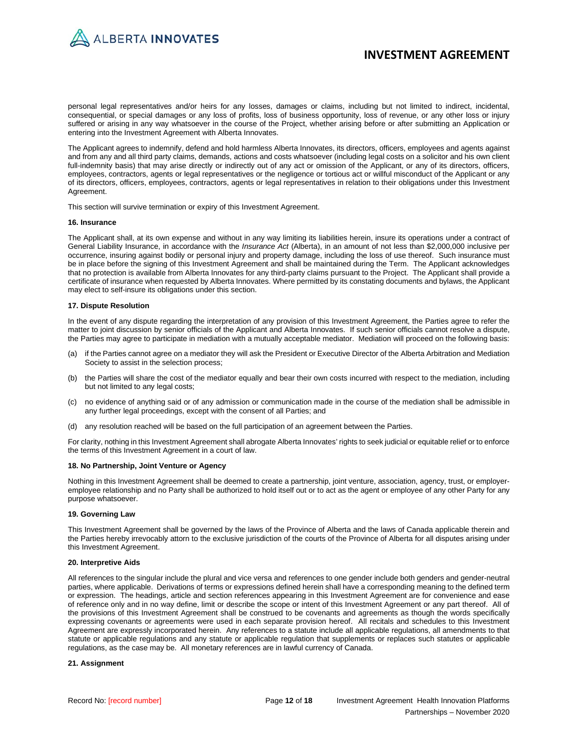

personal legal representatives and/or heirs for any losses, damages or claims, including but not limited to indirect, incidental, consequential, or special damages or any loss of profits, loss of business opportunity, loss of revenue, or any other loss or injury suffered or arising in any way whatsoever in the course of the Project, whether arising before or after submitting an Application or entering into the Investment Agreement with Alberta Innovates.

The Applicant agrees to indemnify, defend and hold harmless Alberta Innovates, its directors, officers, employees and agents against and from any and all third party claims, demands, actions and costs whatsoever (including legal costs on a solicitor and his own client full-indemnity basis) that may arise directly or indirectly out of any act or omission of the Applicant, or any of its directors, officers, employees, contractors, agents or legal representatives or the negligence or tortious act or willful misconduct of the Applicant or any of its directors, officers, employees, contractors, agents or legal representatives in relation to their obligations under this Investment Agreement.

This section will survive termination or expiry of this Investment Agreement.

#### **16. Insurance**

The Applicant shall, at its own expense and without in any way limiting its liabilities herein, insure its operations under a contract of General Liability Insurance, in accordance with the *Insurance Act* (Alberta), in an amount of not less than \$2,000,000 inclusive per occurrence, insuring against bodily or personal injury and property damage, including the loss of use thereof. Such insurance must be in place before the signing of this Investment Agreement and shall be maintained during the Term. The Applicant acknowledges that no protection is available from Alberta Innovates for any third-party claims pursuant to the Project. The Applicant shall provide a certificate of insurance when requested by Alberta Innovates. Where permitted by its constating documents and bylaws, the Applicant may elect to self-insure its obligations under this section.

#### **17. Dispute Resolution**

In the event of any dispute regarding the interpretation of any provision of this Investment Agreement, the Parties agree to refer the matter to joint discussion by senior officials of the Applicant and Alberta Innovates. If such senior officials cannot resolve a dispute, the Parties may agree to participate in mediation with a mutually acceptable mediator. Mediation will proceed on the following basis:

- (a) if the Parties cannot agree on a mediator they will ask the President or Executive Director of the Alberta Arbitration and Mediation Society to assist in the selection process;
- (b) the Parties will share the cost of the mediator equally and bear their own costs incurred with respect to the mediation, including but not limited to any legal costs;
- (c) no evidence of anything said or of any admission or communication made in the course of the mediation shall be admissible in any further legal proceedings, except with the consent of all Parties; and
- (d) any resolution reached will be based on the full participation of an agreement between the Parties.

For clarity, nothing in this Investment Agreement shall abrogate Alberta Innovates' rights to seek judicial or equitable relief or to enforce the terms of this Investment Agreement in a court of law.

### **18. No Partnership, Joint Venture or Agency**

Nothing in this Investment Agreement shall be deemed to create a partnership, joint venture, association, agency, trust, or employeremployee relationship and no Party shall be authorized to hold itself out or to act as the agent or employee of any other Party for any purpose whatsoever.

### **19. Governing Law**

This Investment Agreement shall be governed by the laws of the Province of Alberta and the laws of Canada applicable therein and the Parties hereby irrevocably attorn to the exclusive jurisdiction of the courts of the Province of Alberta for all disputes arising under this Investment Agreement.

#### **20. Interpretive Aids**

All references to the singular include the plural and vice versa and references to one gender include both genders and gender-neutral parties, where applicable. Derivations of terms or expressions defined herein shall have a corresponding meaning to the defined term or expression. The headings, article and section references appearing in this Investment Agreement are for convenience and ease of reference only and in no way define, limit or describe the scope or intent of this Investment Agreement or any part thereof. All of the provisions of this Investment Agreement shall be construed to be covenants and agreements as though the words specifically expressing covenants or agreements were used in each separate provision hereof. All recitals and schedules to this Investment Agreement are expressly incorporated herein. Any references to a statute include all applicable regulations, all amendments to that statute or applicable regulations and any statute or applicable regulation that supplements or replaces such statutes or applicable regulations, as the case may be. All monetary references are in lawful currency of Canada.

### **21. Assignment**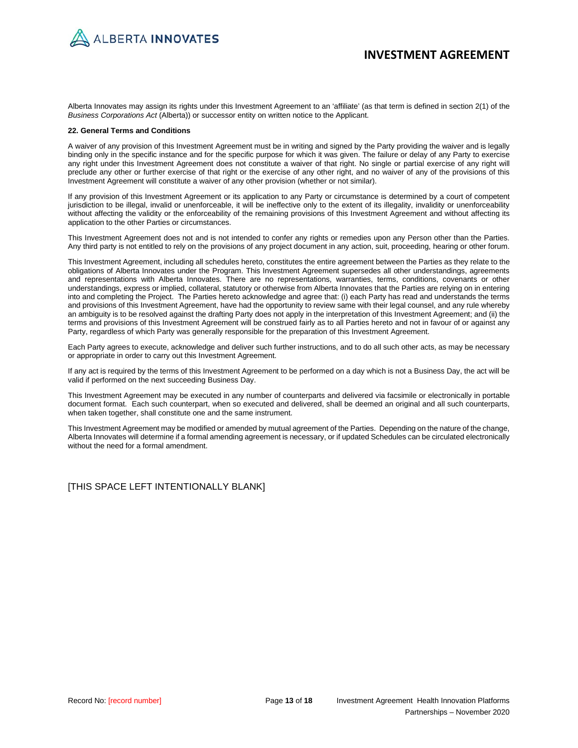

Alberta Innovates may assign its rights under this Investment Agreement to an 'affiliate' (as that term is defined in section 2(1) of the *Business Corporations Act* (Alberta)) or successor entity on written notice to the Applicant.

### **22. General Terms and Conditions**

A waiver of any provision of this Investment Agreement must be in writing and signed by the Party providing the waiver and is legally binding only in the specific instance and for the specific purpose for which it was given. The failure or delay of any Party to exercise any right under this Investment Agreement does not constitute a waiver of that right. No single or partial exercise of any right will preclude any other or further exercise of that right or the exercise of any other right, and no waiver of any of the provisions of this Investment Agreement will constitute a waiver of any other provision (whether or not similar).

If any provision of this Investment Agreement or its application to any Party or circumstance is determined by a court of competent jurisdiction to be illegal, invalid or unenforceable, it will be ineffective only to the extent of its illegality, invalidity or unenforceability without affecting the validity or the enforceability of the remaining provisions of this Investment Agreement and without affecting its application to the other Parties or circumstances.

This Investment Agreement does not and is not intended to confer any rights or remedies upon any Person other than the Parties. Any third party is not entitled to rely on the provisions of any project document in any action, suit, proceeding, hearing or other forum.

This Investment Agreement, including all schedules hereto, constitutes the entire agreement between the Parties as they relate to the obligations of Alberta Innovates under the Program. This Investment Agreement supersedes all other understandings, agreements and representations with Alberta Innovates. There are no representations, warranties, terms, conditions, covenants or other understandings, express or implied, collateral, statutory or otherwise from Alberta Innovates that the Parties are relying on in entering into and completing the Project. The Parties hereto acknowledge and agree that: (i) each Party has read and understands the terms and provisions of this Investment Agreement, have had the opportunity to review same with their legal counsel, and any rule whereby an ambiguity is to be resolved against the drafting Party does not apply in the interpretation of this Investment Agreement; and (ii) the terms and provisions of this Investment Agreement will be construed fairly as to all Parties hereto and not in favour of or against any Party, regardless of which Party was generally responsible for the preparation of this Investment Agreement.

Each Party agrees to execute, acknowledge and deliver such further instructions, and to do all such other acts, as may be necessary or appropriate in order to carry out this Investment Agreement.

If any act is required by the terms of this Investment Agreement to be performed on a day which is not a Business Day, the act will be valid if performed on the next succeeding Business Day.

This Investment Agreement may be executed in any number of counterparts and delivered via facsimile or electronically in portable document format. Each such counterpart, when so executed and delivered, shall be deemed an original and all such counterparts, when taken together, shall constitute one and the same instrument.

This Investment Agreement may be modified or amended by mutual agreement of the Parties. Depending on the nature of the change, Alberta Innovates will determine if a formal amending agreement is necessary, or if updated Schedules can be circulated electronically without the need for a formal amendment.

[THIS SPACE LEFT INTENTIONALLY BLANK]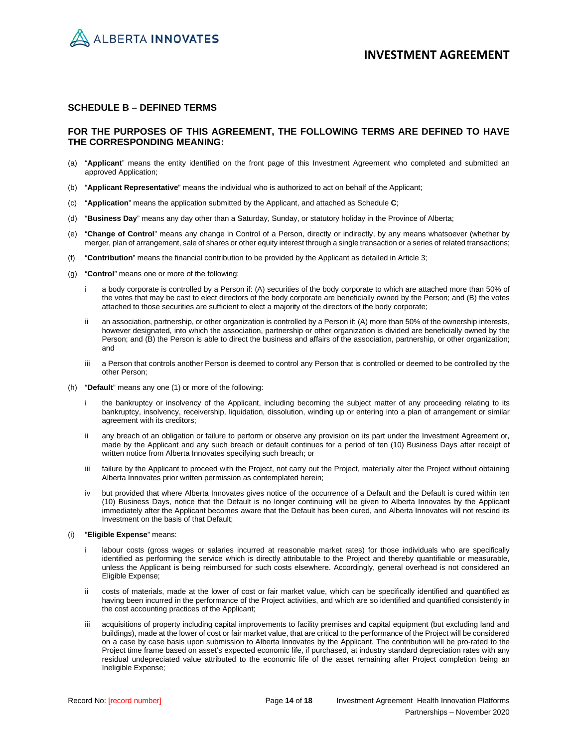

### **SCHEDULE B – DEFINED TERMS**

### **FOR THE PURPOSES OF THIS AGREEMENT, THE FOLLOWING TERMS ARE DEFINED TO HAVE THE CORRESPONDING MEANING:**

- (a) "**Applicant**" means the entity identified on the front page of this Investment Agreement who completed and submitted an approved Application;
- (b) "**Applicant Representative**" means the individual who is authorized to act on behalf of the Applicant;
- (c) "**Application**" means the application submitted by the Applicant, and attached as Schedule **C**;
- (d) "**Business Day**" means any day other than a Saturday, Sunday, or statutory holiday in the Province of Alberta;
- (e) "**Change of Control**" means any change in Control of a Person, directly or indirectly, by any means whatsoever (whether by merger, plan of arrangement, sale of shares or other equity interest through a single transaction or a series of related transactions;
- (f) "**Contribution**" means the financial contribution to be provided by the Applicant as detailed in Article 3;
- (g) "**Control**" means one or more of the following:
	- i a body corporate is controlled by a Person if: (A) securities of the body corporate to which are attached more than 50% of the votes that may be cast to elect directors of the body corporate are beneficially owned by the Person; and (B) the votes attached to those securities are sufficient to elect a majority of the directors of the body corporate;
	- ii an association, partnership, or other organization is controlled by a Person if: (A) more than 50% of the ownership interests, however designated, into which the association, partnership or other organization is divided are beneficially owned by the Person; and (B) the Person is able to direct the business and affairs of the association, partnership, or other organization; and
	- iii a Person that controls another Person is deemed to control any Person that is controlled or deemed to be controlled by the other Person;
- (h) "**Default**" means any one (1) or more of the following:
	- i the bankruptcy or insolvency of the Applicant, including becoming the subject matter of any proceeding relating to its bankruptcy, insolvency, receivership, liquidation, dissolution, winding up or entering into a plan of arrangement or similar agreement with its creditors;
	- ii any breach of an obligation or failure to perform or observe any provision on its part under the Investment Agreement or, made by the Applicant and any such breach or default continues for a period of ten (10) Business Days after receipt of written notice from Alberta Innovates specifying such breach; or
	- iii failure by the Applicant to proceed with the Project, not carry out the Project, materially alter the Project without obtaining Alberta Innovates prior written permission as contemplated herein;
	- iv but provided that where Alberta Innovates gives notice of the occurrence of a Default and the Default is cured within ten (10) Business Days, notice that the Default is no longer continuing will be given to Alberta Innovates by the Applicant immediately after the Applicant becomes aware that the Default has been cured, and Alberta Innovates will not rescind its Investment on the basis of that Default;
- (i) "**Eligible Expense**" means:
	- i labour costs (gross wages or salaries incurred at reasonable market rates) for those individuals who are specifically identified as performing the service which is directly attributable to the Project and thereby quantifiable or measurable, unless the Applicant is being reimbursed for such costs elsewhere. Accordingly, general overhead is not considered an Eligible Expense;
	- ii costs of materials, made at the lower of cost or fair market value, which can be specifically identified and quantified as having been incurred in the performance of the Project activities, and which are so identified and quantified consistently in the cost accounting practices of the Applicant;
	- iii acquisitions of property including capital improvements to facility premises and capital equipment (but excluding land and buildings), made at the lower of cost or fair market value, that are critical to the performance of the Project will be considered on a case by case basis upon submission to Alberta Innovates by the Applicant. The contribution will be pro-rated to the Project time frame based on asset's expected economic life, if purchased, at industry standard depreciation rates with any residual undepreciated value attributed to the economic life of the asset remaining after Project completion being an Ineligible Expense;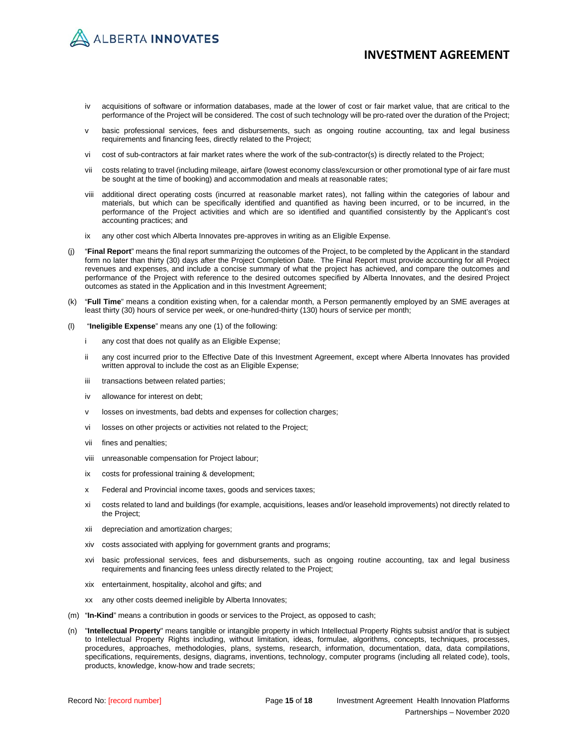ALBERTA INNOVATES

# **INVESTMENT AGREEMENT**

- iv acquisitions of software or information databases, made at the lower of cost or fair market value, that are critical to the performance of the Project will be considered. The cost of such technology will be pro-rated over the duration of the Project;
- v basic professional services, fees and disbursements, such as ongoing routine accounting, tax and legal business requirements and financing fees, directly related to the Project;
- vi cost of sub-contractors at fair market rates where the work of the sub-contractor(s) is directly related to the Project;
- vii costs relating to travel (including mileage, airfare (lowest economy class/excursion or other promotional type of air fare must be sought at the time of booking) and accommodation and meals at reasonable rates;
- viii additional direct operating costs (incurred at reasonable market rates), not falling within the categories of labour and materials, but which can be specifically identified and quantified as having been incurred, or to be incurred, in the performance of the Project activities and which are so identified and quantified consistently by the Applicant's cost accounting practices; and
- ix any other cost which Alberta Innovates pre-approves in writing as an Eligible Expense.
- (j) "**Final Report**" means the final report summarizing the outcomes of the Project, to be completed by the Applicant in the standard form no later than thirty (30) days after the Project Completion Date. The Final Report must provide accounting for all Project revenues and expenses, and include a concise summary of what the project has achieved, and compare the outcomes and performance of the Project with reference to the desired outcomes specified by Alberta Innovates, and the desired Project outcomes as stated in the Application and in this Investment Agreement;
- (k) "**Full Time**" means a condition existing when, for a calendar month, a Person permanently employed by an SME averages at least thirty (30) hours of service per week, or one-hundred-thirty (130) hours of service per month;
- (l) "**Ineligible Expense**" means any one (1) of the following:
	- i any cost that does not qualify as an Eligible Expense;
	- ii any cost incurred prior to the Effective Date of this Investment Agreement, except where Alberta Innovates has provided written approval to include the cost as an Eligible Expense;
	- iii transactions between related parties;
	- iv allowance for interest on debt;
	- v losses on investments, bad debts and expenses for collection charges;
	- vi losses on other projects or activities not related to the Project;
	- vii fines and penalties;
	- viii unreasonable compensation for Project labour;
	- ix costs for professional training & development;
	- x Federal and Provincial income taxes, goods and services taxes;
	- xi costs related to land and buildings (for example, acquisitions, leases and/or leasehold improvements) not directly related to the Project;
	- xii depreciation and amortization charges;
	- xiv costs associated with applying for government grants and programs;
	- xvi basic professional services, fees and disbursements, such as ongoing routine accounting, tax and legal business requirements and financing fees unless directly related to the Project;
	- xix entertainment, hospitality, alcohol and gifts; and
	- xx any other costs deemed ineligible by Alberta Innovates;
- (m) "**In-Kind**" means a contribution in goods or services to the Project, as opposed to cash;
- (n) "**Intellectual Property**" means tangible or intangible property in which Intellectual Property Rights subsist and/or that is subject to Intellectual Property Rights including, without limitation, ideas, formulae, algorithms, concepts, techniques, processes, procedures, approaches, methodologies, plans, systems, research, information, documentation, data, data compilations, specifications, requirements, designs, diagrams, inventions, technology, computer programs (including all related code), tools, products, knowledge, know-how and trade secrets;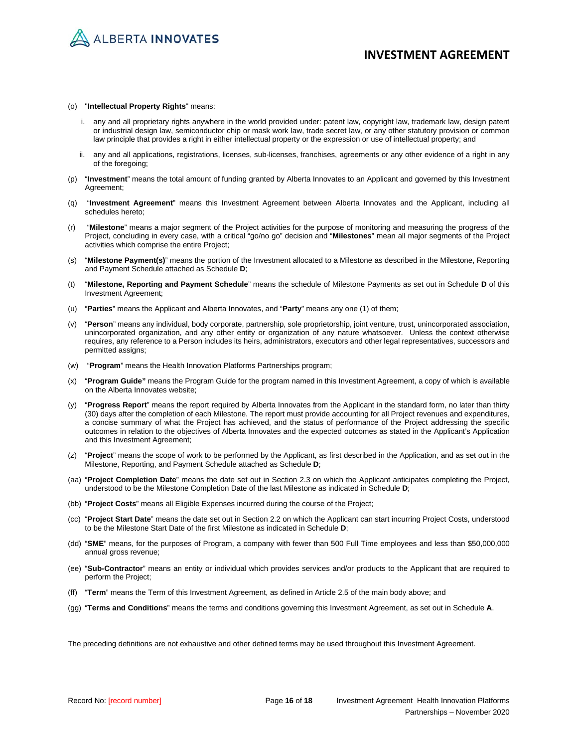

#### (o) "**Intellectual Property Rights**" means:

- i. any and all proprietary rights anywhere in the world provided under: patent law, copyright law, trademark law, design patent or industrial design law, semiconductor chip or mask work law, trade secret law, or any other statutory provision or common law principle that provides a right in either intellectual property or the expression or use of intellectual property; and
- ii. any and all applications, registrations, licenses, sub-licenses, franchises, agreements or any other evidence of a right in any of the foregoing;
- (p) "**Investment**" means the total amount of funding granted by Alberta Innovates to an Applicant and governed by this Investment Agreement;
- (q) "**Investment Agreement**" means this Investment Agreement between Alberta Innovates and the Applicant, including all schedules hereto;
- (r) "**Milestone**" means a major segment of the Project activities for the purpose of monitoring and measuring the progress of the Project, concluding in every case, with a critical "go/no go" decision and "**Milestones**" mean all major segments of the Project activities which comprise the entire Project;
- (s) "**Milestone Payment(s)**" means the portion of the Investment allocated to a Milestone as described in the Milestone, Reporting and Payment Schedule attached as Schedule **D**;
- (t) "**Milestone, Reporting and Payment Schedule**" means the schedule of Milestone Payments as set out in Schedule **D** of this Investment Agreement;
- (u) "**Parties**" means the Applicant and Alberta Innovates, and "**Party**" means any one (1) of them;
- (v) "**Person**" means any individual, body corporate, partnership, sole proprietorship, joint venture, trust, unincorporated association, unincorporated organization, and any other entity or organization of any nature whatsoever. Unless the context otherwise requires, any reference to a Person includes its heirs, administrators, executors and other legal representatives, successors and permitted assigns;
- (w) "**Program**" means the Health Innovation Platforms Partnerships program;
- (x) "**Program Guide"** means the Program Guide for the program named in this Investment Agreement, a copy of which is available on the Alberta Innovates website;
- (y) "**Progress Report**" means the report required by Alberta Innovates from the Applicant in the standard form, no later than thirty (30) days after the completion of each Milestone. The report must provide accounting for all Project revenues and expenditures, a concise summary of what the Project has achieved, and the status of performance of the Project addressing the specific outcomes in relation to the objectives of Alberta Innovates and the expected outcomes as stated in the Applicant's Application and this Investment Agreement;
- (z) "**Project**" means the scope of work to be performed by the Applicant, as first described in the Application, and as set out in the Milestone, Reporting, and Payment Schedule attached as Schedule **D**;
- (aa) "**Project Completion Date**" means the date set out in Section 2.3 on which the Applicant anticipates completing the Project, understood to be the Milestone Completion Date of the last Milestone as indicated in Schedule **D**;
- (bb) "**Project Costs**" means all Eligible Expenses incurred during the course of the Project;
- (cc) "**Project Start Date**" means the date set out in Section 2.2 on which the Applicant can start incurring Project Costs, understood to be the Milestone Start Date of the first Milestone as indicated in Schedule **D**;
- (dd) "**SME**" means, for the purposes of Program, a company with fewer than 500 Full Time employees and less than \$50,000,000 annual gross revenue;
- (ee) "**Sub-Contractor**" means an entity or individual which provides services and/or products to the Applicant that are required to perform the Project;
- (ff) "**Term**" means the Term of this Investment Agreement, as defined in Article 2.5 of the main body above; and
- (gg) "**Terms and Conditions**" means the terms and conditions governing this Investment Agreement, as set out in Schedule **A**.

The preceding definitions are not exhaustive and other defined terms may be used throughout this Investment Agreement.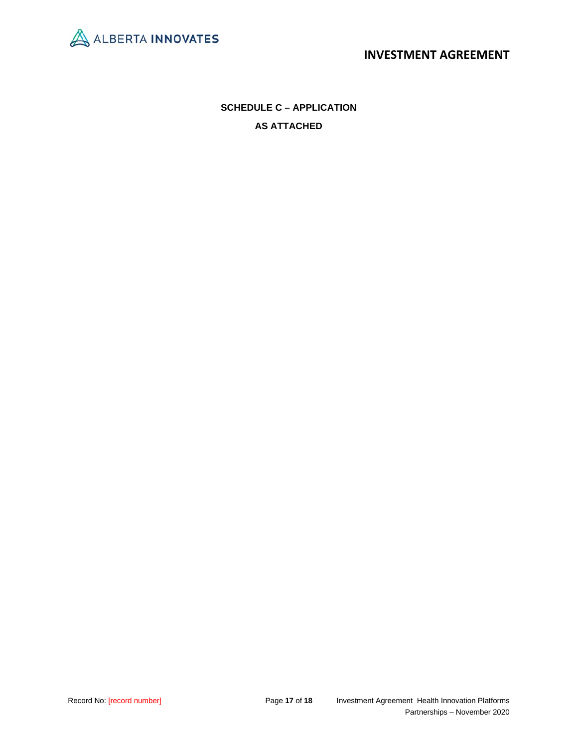

**SCHEDULE C – APPLICATION AS ATTACHED**